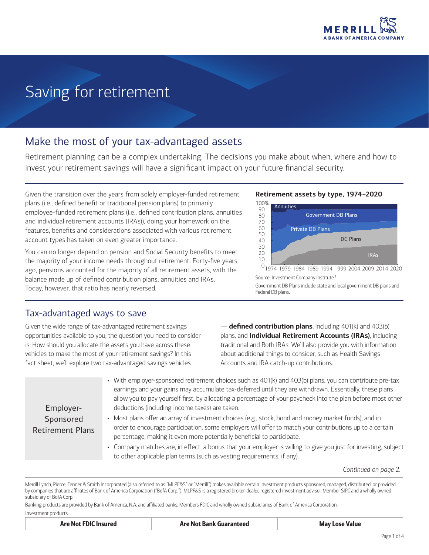

# Saving for retirement

## Make the most of your tax-advantaged assets

Retirement planning can be a complex undertaking. The decisions you make about when, where and how to invest your retirement savings will have a significant impact on your future financial security.

Given the transition over the years from solely employer-funded retirement plans (i.e., defined benefit or traditional pension plans) to primarily employee-funded retirement plans (i.e., defined contribution plans, annuities and individual retirement accounts (IRAs)), doing your homework on the features, benefits and considerations associated with various retirement account types has taken on even greater importance.

You can no longer depend on pension and Social Security benefits to meet the majority of your income needs throughout retirement. Forty-five years ago, pensions accounted for the majority of all retirement assets, with the balance made up of defined contribution plans, annuities and IRAs. Today, however, that ratio has nearly reversed.

### Tax-advantaged ways to save

Given the wide range of tax-advantaged retirement savings opportunities available to you, the question you need to consider is: How should you allocate the assets you have across these vehicles to make the most of your retirement savings? In this fact sheet, we'll explore two tax-advantaged savings vehicles

**Retirement assets by type, 1974–2020**



Source: Investment Company Institute.<sup>1</sup> Government DB Plans include state and local government DB plans and Federal DB plans.

— **defined contribution plans**, including 401(k) and 403(b) plans, and **Individual Retirement Accounts (IRAs)**, including traditional and Roth IRAs. We'll also provide you with information about additional things to consider, such as Health Savings Accounts and IRA catch-up contributions.

Employer-Sponsored Retirement Plans

- With employer-sponsored retirement choices such as 401(k) and 403(b) plans, you can contribute pre-tax earnings and your gains may accumulate tax-deferred until they are withdrawn. Essentially, these plans allow you to pay yourself first, by allocating a percentage of your paycheck into the plan before most other deductions (including income taxes) are taken.
- Most plans offer an array of investment choices (e.g., stock, bond and money market funds), and in order to encourage participation, some employers will offer to match your contributions up to a certain percentage, making it even more potentially beneficial to participate.
- Company matches are, in effect, a bonus that your employer is willing to give you just for investing, subject to other applicable plan terms (such as vesting requirements, if any).

*Continued on page 2.*

Merrill Lynch, Pierce, Fenner & Smith Incorporated (also referred to as "MLPF&S" or "Merrill") makes available certain investment products sponsored, managed, distributed, or provided by companies that are affiliates of Bank of America Corporation ("BofA Corp."). MLPF&S is a registered broker-dealer, registered investment adviser, Member [SIPC](http://www.SIPC.org) and a wholly owned subsidiary of BofA Corp.

Banking products are provided by Bank of America, N.A. and affiliated banks, Members FDIC and wholly owned subsidiaries of Bank of America Corporation.

| Investment products: |  |
|----------------------|--|
|                      |  |

| <b>Are Not FDIC Insured</b> | <b>Are Not Bank Guaranteed</b> | <b>May Lose Value</b> |
|-----------------------------|--------------------------------|-----------------------|
|-----------------------------|--------------------------------|-----------------------|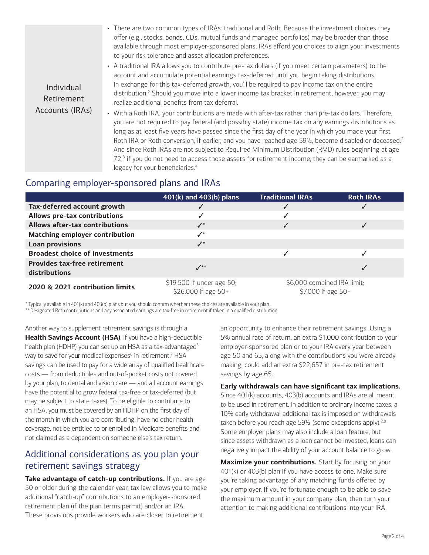• There are two common types of IRAs: traditional and Roth. Because the investment choices they offer (e.g., stocks, bonds, CDs, mutual funds and managed portfolios) may be broader than those available through most employer-sponsored plans, IRAs afford you choices to align your investments to your risk tolerance and asset allocation preferences.

Individual Retirement Accounts (IRAs)

- A traditional IRA allows you to contribute pre-tax dollars (if you meet certain parameters) to the account and accumulate potential earnings tax-deferred until you begin taking distributions. In exchange for this tax-deferred growth, you'll be required to pay income tax on the entire distribution.2 Should you move into a lower income tax bracket in retirement, however, you may realize additional benefits from tax deferral.
- With a Roth IRA, your contributions are made with after-tax rather than pre-tax dollars. Therefore, you are not required to pay federal (and possibly state) income tax on any earnings distributions as long as at least five years have passed since the first day of the year in which you made your first Roth IRA or Roth conversion, if earlier, and you have reached age 59½, become disabled or deceased.<sup>2</sup> And since Roth IRAs are not subject to Required Minimum Distribution (RMD) rules beginning at age 72,<sup>3</sup> if you do not need to access those assets for retirement income, they can be earmarked as a legacy for your beneficiaries.<sup>4</sup>

## Comparing employer-sponsored plans and IRAs

|                                                      | 401(k) and 403(b) plans                          | <b>Traditional IRAs</b>                             | <b>Roth IRAs</b> |
|------------------------------------------------------|--------------------------------------------------|-----------------------------------------------------|------------------|
| Tax-deferred account growth                          | √                                                |                                                     |                  |
| Allows pre-tax contributions                         | ✓                                                |                                                     |                  |
| <b>Allows after-tax contributions</b>                | $\checkmark$                                     |                                                     |                  |
| <b>Matching employer contribution</b>                | $\checkmark$                                     |                                                     |                  |
| <b>Loan provisions</b>                               | $\checkmark$                                     |                                                     |                  |
| <b>Broadest choice of investments</b>                |                                                  |                                                     |                  |
| <b>Provides tax-free retirement</b><br>distributions | $\mathcal{N}^{**}$                               |                                                     |                  |
| 2020 & 2021 contribution limits                      | \$19,500 if under age 50;<br>\$26,000 if age 50+ | \$6,000 combined IRA limit;<br>\$7,000 if age $50+$ |                  |

\* Typically available in 401(k) and 403(b) plans but you should confirm whether these choices are available in your plan.

\*\* Designated Roth contributions and any associated earnings are tax-free in retirement if taken in a qualified distribution.

Another way to supplement retirement savings is through a **Health Savings Account (HSA)**. If you have a high-deductible health plan (HDHP) you can set up an HSA as a tax-advantaged<sup>5</sup> way to save for your medical expenses $^6$  in retirement.<sup>7</sup> <code>HSA</code> savings can be used to pay for a wide array of qualified healthcare costs — from deductibles and out-of-pocket costs not covered by your plan, to dental and vision care — and all account earnings have the potential to grow federal tax-free or tax-deferred (but may be subject to state taxes). To be eligible to contribute to an HSA, you must be covered by an HDHP on the first day of the month in which you are contributing, have no other health coverage, not be entitled to or enrolled in Medicare benefits and not claimed as a dependent on someone else's tax return.

## Additional considerations as you plan your retirement savings strategy

**Take advantage of catch-up contributions.** If you are age 50 or older during the calendar year, tax law allows you to make additional "catch-up" contributions to an employer-sponsored retirement plan (if the plan terms permit) and/or an IRA. These provisions provide workers who are closer to retirement

an opportunity to enhance their retirement savings. Using a 5% annual rate of return, an extra \$1,000 contribution to your employer-sponsored plan or to your IRA every year between age 50 and 65, along with the contributions you were already making, could add an extra \$22,657 in pre-tax retirement savings by age 65.

#### **Early withdrawals can have significant tax implications.**

Since 401(k) accounts, 403(b) accounts and IRAs are all meant to be used in retirement, in addition to ordinary income taxes, a 10% early withdrawal additional tax is imposed on withdrawals taken before you reach age 591/2 (some exceptions apply).<sup>2,8</sup> Some employer plans may also include a loan feature, but since assets withdrawn as a loan cannot be invested, loans can negatively impact the ability of your account balance to grow.

**Maximize your contributions.** Start by focusing on your 401(k) or 403(b) plan if you have access to one. Make sure you're taking advantage of any matching funds offered by your employer. If you're fortunate enough to be able to save the maximum amount in your company plan, then turn your attention to making additional contributions into your IRA.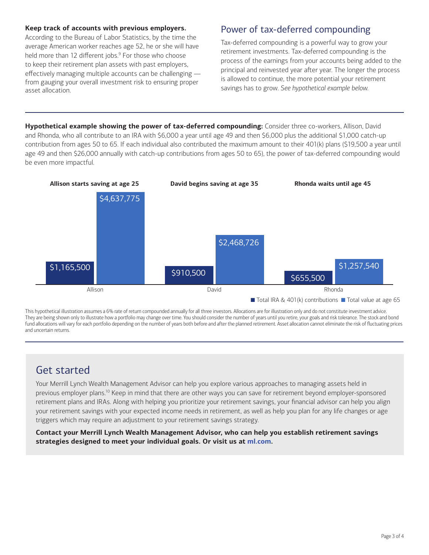#### **Keep track of accounts with previous employers.**

According to the Bureau of Labor Statistics, by the time the average American worker reaches age 52, he or she will have held more than 12 different jobs.<sup>9</sup> For those who choose to keep their retirement plan assets with past employers, effectively managing multiple accounts can be challenging from gauging your overall investment risk to ensuring proper asset allocation.

## Power of tax-deferred compounding

Tax-deferred compounding is a powerful way to grow your retirement investments. Tax-deferred compounding is the process of the earnings from your accounts being added to the principal and reinvested year after year. The longer the process is allowed to continue, the more potential your retirement savings has to grow. *See hypothetical example below.*

**Hypothetical example showing the power of tax-deferred compounding:** Consider three co-workers, Allison, David and Rhonda, who all contribute to an IRA with \$6,000 a year until age 49 and then \$6,000 plus the additional \$1,000 catch-up contribution from ages 50 to 65. If each individual also contributed the maximum amount to their 401(k) plans (\$19,500 a year until age 49 and then \$26,000 annually with catch-up contributions from ages 50 to 65), the power of tax-deferred compounding would be even more impactful.



This hypothetical illustration assumes a 6% rate of return compounded annually for all three investors. Allocations are for illustration only and do not constitute investment advice. They are being shown only to illustrate how a portfolio may change over time. You should consider the number of years until you retire, your goals and risk tolerance. The stock and bond fund allocations will vary for each portfolio depending on the number of years both before and after the planned retirement. Asset allocation cannot eliminate the risk of fluctuating prices and uncertain returns.

## Get started

Your Merrill Lynch Wealth Management Advisor can help you explore various approaches to managing assets held in previous employer plans.<sup>10</sup> Keep in mind that there are other ways you can save for retirement beyond employer-sponsored retirement plans and IRAs. Along with helping you prioritize your retirement savings, your financial advisor can help you align your retirement savings with your expected income needs in retirement, as well as help you plan for any life changes or age triggers which may require an adjustment to your retirement savings strategy.

**Contact your Merrill Lynch Wealth Management Advisor, who can help you establish retirement savings strategies designed to meet your individual goals. Or visit us at [ml.com](http://www.ml.com).**